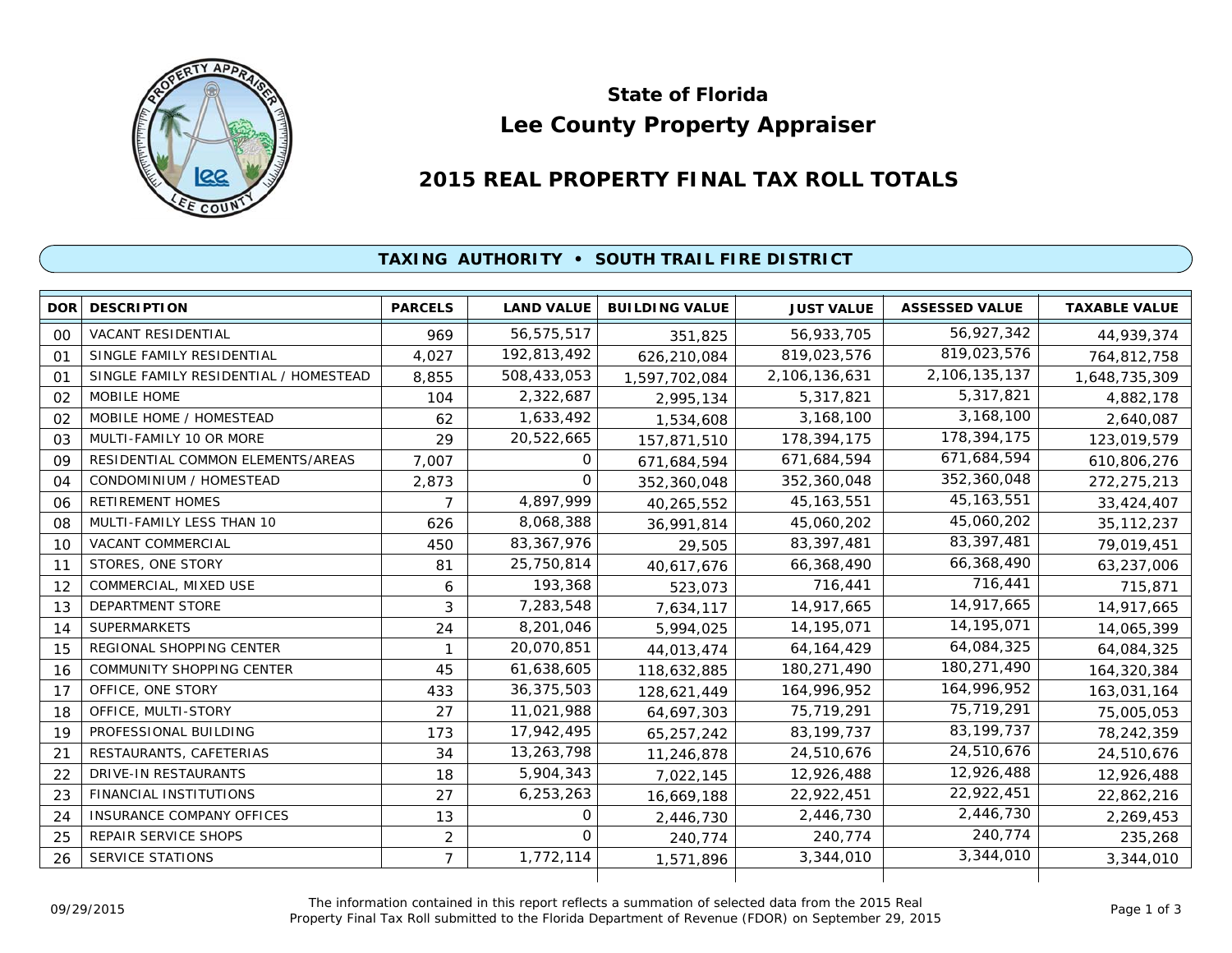

# **Lee County Property Appraiser State of Florida**

## **2015 REAL PROPERTY FINAL TAX ROLL TOTALS**

### **TAXING AUTHORITY • SOUTH TRAIL FIRE DISTRICT**

| <b>DOR</b> | <b>DESCRIPTION</b>                    | <b>PARCELS</b> | <b>LAND VALUE</b> | <b>BUILDING VALUE</b> | <b>JUST VALUE</b> | <b>ASSESSED VALUE</b> | <b>TAXABLE VALUE</b> |
|------------|---------------------------------------|----------------|-------------------|-----------------------|-------------------|-----------------------|----------------------|
| 00         | <b>VACANT RESIDENTIAL</b>             | 969            | 56,575,517        | 351,825               | 56,933,705        | 56,927,342            | 44,939,374           |
| 01         | SINGLE FAMILY RESIDENTIAL             | 4,027          | 192,813,492       | 626,210,084           | 819,023,576       | 819,023,576           | 764,812,758          |
| 01         | SINGLE FAMILY RESIDENTIAL / HOMESTEAD | 8,855          | 508,433,053       | 1,597,702,084         | 2,106,136,631     | 2,106,135,137         | 1,648,735,309        |
| 02         | MOBILE HOME                           | 104            | 2,322,687         | 2,995,134             | 5,317,821         | 5,317,821             | 4,882,178            |
| 02         | MOBILE HOME / HOMESTEAD               | 62             | 1,633,492         | 1,534,608             | 3,168,100         | 3,168,100             | 2,640,087            |
| 03         | MULTI-FAMILY 10 OR MORE               | 29             | 20,522,665        | 157,871,510           | 178,394,175       | 178,394,175           | 123,019,579          |
| 09         | RESIDENTIAL COMMON ELEMENTS/AREAS     | 7,007          | 0                 | 671,684,594           | 671,684,594       | 671,684,594           | 610,806,276          |
| 04         | CONDOMINIUM / HOMESTEAD               | 2,873          | $\Omega$          | 352,360,048           | 352,360,048       | 352,360,048           | 272,275,213          |
| 06         | <b>RETIREMENT HOMES</b>               | 7              | 4,897,999         | 40,265,552            | 45, 163, 551      | 45, 163, 551          | 33,424,407           |
| 08         | MULTI-FAMILY LESS THAN 10             | 626            | 8,068,388         | 36,991,814            | 45,060,202        | 45,060,202            | 35, 112, 237         |
| 10         | VACANT COMMERCIAL                     | 450            | 83, 367, 976      | 29,505                | 83,397,481        | 83,397,481            | 79,019,451           |
| 11         | STORES, ONE STORY                     | 81             | 25,750,814        | 40,617,676            | 66,368,490        | 66,368,490            | 63,237,006           |
| 12         | COMMERCIAL, MIXED USE                 | 6              | 193,368           | 523,073               | 716,441           | 716,441               | 715,871              |
| 13         | <b>DEPARTMENT STORE</b>               | 3              | 7,283,548         | 7,634,117             | 14,917,665        | 14,917,665            | 14,917,665           |
| 14         | <b>SUPERMARKETS</b>                   | 24             | 8,201,046         | 5,994,025             | 14,195,071        | 14, 195, 071          | 14,065,399           |
| 15         | REGIONAL SHOPPING CENTER              |                | 20,070,851        | 44,013,474            | 64, 164, 429      | 64,084,325            | 64,084,325           |
| 16         | <b>COMMUNITY SHOPPING CENTER</b>      | 45             | 61,638,605        | 118,632,885           | 180,271,490       | 180,271,490           | 164,320,384          |
| 17         | OFFICE, ONE STORY                     | 433            | 36,375,503        | 128,621,449           | 164,996,952       | 164,996,952           | 163,031,164          |
| 18         | OFFICE, MULTI-STORY                   | 27             | 11,021,988        | 64,697,303            | 75,719,291        | 75,719,291            | 75,005,053           |
| 19         | PROFESSIONAL BUILDING                 | 173            | 17,942,495        | 65,257,242            | 83,199,737        | 83, 199, 737          | 78,242,359           |
| 21         | RESTAURANTS, CAFETERIAS               | 34             | 13,263,798        | 11,246,878            | 24,510,676        | 24,510,676            | 24,510,676           |
| 22         | DRIVE-IN RESTAURANTS                  | 18             | 5,904,343         | 7,022,145             | 12,926,488        | 12,926,488            | 12,926,488           |
| 23         | FINANCIAL INSTITUTIONS                | 27             | 6,253,263         | 16,669,188            | 22,922,451        | 22,922,451            | 22,862,216           |
| 24         | <b>INSURANCE COMPANY OFFICES</b>      | 13             | 0                 | 2,446,730             | 2,446,730         | 2,446,730             | 2,269,453            |
| 25         | REPAIR SERVICE SHOPS                  | $\overline{2}$ | $\Omega$          | 240,774               | 240,774           | 240,774               | 235,268              |
| 26         | <b>SERVICE STATIONS</b>               | $\overline{7}$ | 1,772,114         | 1,571,896             | 3,344,010         | 3,344,010             | 3,344,010            |
|            |                                       |                |                   |                       |                   |                       |                      |

The information contained in this report reflects a summation of selected data from the 2015 Real Ine information contained in this report reflects a summation of selected data from the 2015 Real<br>Property Final Tax Roll submitted to the Florida Department of Revenue (FDOR) on September 29, 2015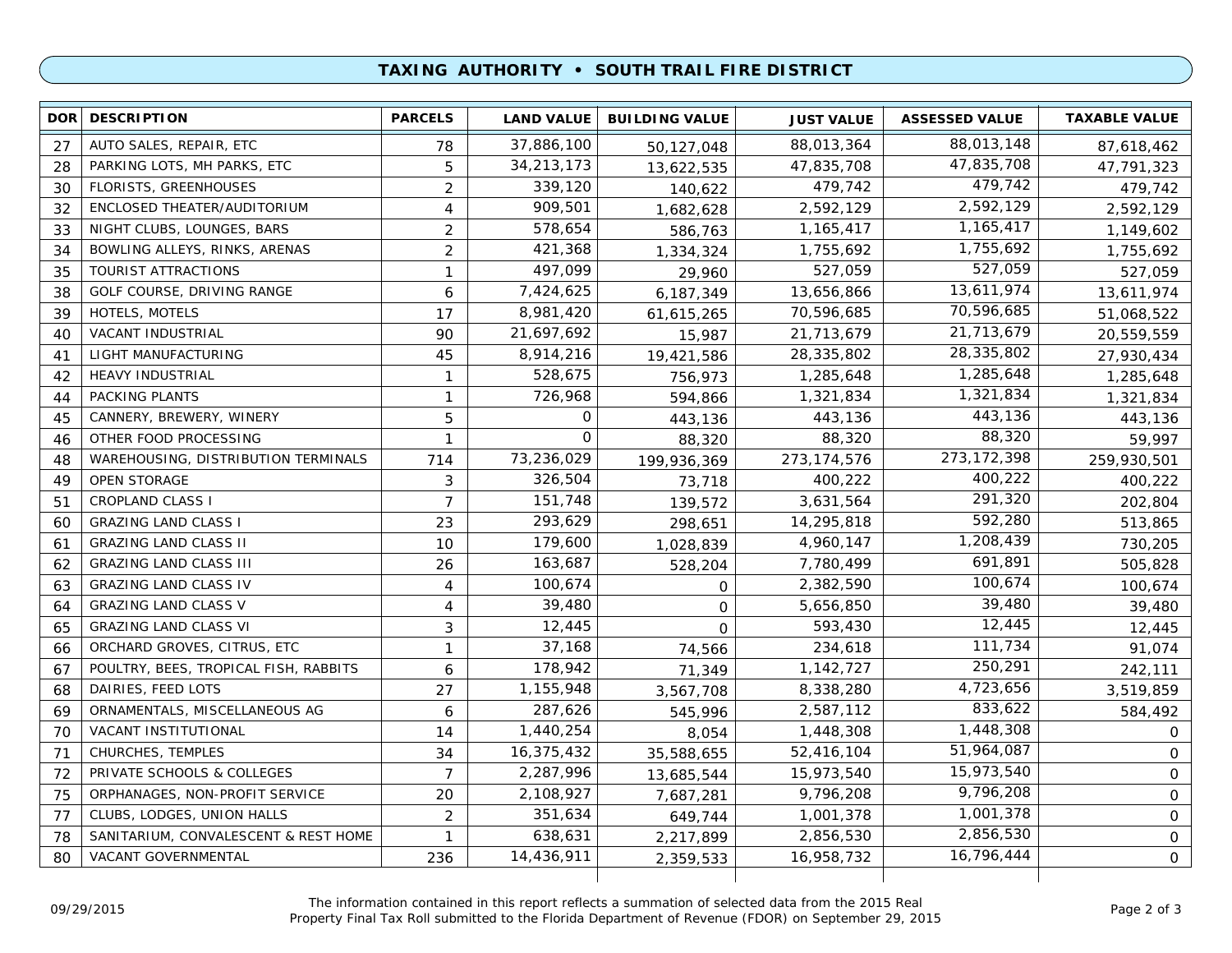#### **TAXING AUTHORITY • SOUTH TRAIL FIRE DISTRICT**

| <b>DOR</b> | <b>DESCRIPTION</b>                    | <b>PARCELS</b> | <b>LAND VALUE</b> | <b>BUILDING VALUE</b> | <b>JUST VALUE</b> | <b>ASSESSED VALUE</b> | <b>TAXABLE VALUE</b> |
|------------|---------------------------------------|----------------|-------------------|-----------------------|-------------------|-----------------------|----------------------|
| 27         | AUTO SALES, REPAIR, ETC               | 78             | 37,886,100        | 50,127,048            | 88,013,364        | 88,013,148            | 87,618,462           |
| 28         | PARKING LOTS, MH PARKS, ETC           | 5              | 34, 213, 173      | 13,622,535            | 47,835,708        | 47,835,708            | 47,791,323           |
| 30         | <b>FLORISTS, GREENHOUSES</b>          | $\overline{2}$ | 339,120           | 140,622               | 479,742           | 479,742               | 479,742              |
| 32         | ENCLOSED THEATER/AUDITORIUM           | $\overline{4}$ | 909,501           | 1,682,628             | 2,592,129         | 2,592,129             | 2,592,129            |
| 33         | NIGHT CLUBS, LOUNGES, BARS            | 2              | 578,654           | 586,763               | 1,165,417         | 1,165,417             | 1,149,602            |
| 34         | BOWLING ALLEYS, RINKS, ARENAS         | $\overline{2}$ | 421,368           | 1,334,324             | 1,755,692         | 1,755,692             | 1,755,692            |
| 35         | TOURIST ATTRACTIONS                   | $\mathbf{1}$   | 497,099           | 29,960                | 527,059           | 527,059               | 527,059              |
| 38         | GOLF COURSE, DRIVING RANGE            | 6              | 7,424,625         | 6,187,349             | 13,656,866        | 13,611,974            | 13,611,974           |
| 39         | HOTELS, MOTELS                        | 17             | 8,981,420         | 61,615,265            | 70,596,685        | 70,596,685            | 51,068,522           |
| 40         | VACANT INDUSTRIAL                     | 90             | 21,697,692        | 15,987                | 21,713,679        | 21,713,679            | 20,559,559           |
| 41         | LIGHT MANUFACTURING                   | 45             | 8,914,216         | 19,421,586            | 28,335,802        | 28,335,802            | 27,930,434           |
| 42         | <b>HEAVY INDUSTRIAL</b>               | $\mathbf{1}$   | 528,675           | 756,973               | 1,285,648         | 1,285,648             | 1,285,648            |
| 44         | PACKING PLANTS                        | $\mathbf{1}$   | 726,968           | 594,866               | 1,321,834         | 1,321,834             | 1,321,834            |
| 45         | CANNERY, BREWERY, WINERY              | 5              | 0                 | 443,136               | 443,136           | 443,136               | 443,136              |
| 46         | OTHER FOOD PROCESSING                 | $\mathbf 1$    | $\mathbf{O}$      | 88,320                | 88,320            | 88,320                | 59,997               |
| 48         | WAREHOUSING, DISTRIBUTION TERMINALS   | 714            | 73,236,029        | 199,936,369           | 273,174,576       | 273, 172, 398         | 259,930,501          |
| 49         | <b>OPEN STORAGE</b>                   | 3              | 326,504           | 73,718                | 400,222           | 400,222               | 400,222              |
| 51         | <b>CROPLAND CLASS I</b>               | $\overline{7}$ | 151,748           | 139,572               | 3,631,564         | 291,320               | 202,804              |
| 60         | <b>GRAZING LAND CLASS I</b>           | 23             | 293,629           | 298,651               | 14,295,818        | 592,280               | 513,865              |
| 61         | <b>GRAZING LAND CLASS II</b>          | 10             | 179,600           | 1,028,839             | 4,960,147         | 1,208,439             | 730,205              |
| 62         | <b>GRAZING LAND CLASS III</b>         | 26             | 163,687           | 528,204               | 7,780,499         | 691,891               | 505,828              |
| 63         | <b>GRAZING LAND CLASS IV</b>          | 4              | 100,674           | $\mathbf 0$           | 2,382,590         | 100,674               | 100,674              |
| 64         | <b>GRAZING LAND CLASS V</b>           | 4              | 39,480            | $\mathbf 0$           | 5,656,850         | 39,480                | 39,480               |
| 65         | <b>GRAZING LAND CLASS VI</b>          | 3              | 12,445            | $\mathbf 0$           | 593,430           | 12,445                | 12,445               |
| 66         | ORCHARD GROVES, CITRUS, ETC           | $\mathbf{1}$   | 37,168            | 74,566                | 234,618           | 111,734               | 91,074               |
| 67         | POULTRY, BEES, TROPICAL FISH, RABBITS | 6              | 178,942           | 71,349                | 1,142,727         | 250,291               | 242,111              |
| 68         | DAIRIES, FEED LOTS                    | 27             | 1,155,948         | 3,567,708             | 8,338,280         | 4,723,656             | 3,519,859            |
| 69         | ORNAMENTALS, MISCELLANEOUS AG         | 6              | 287,626           | 545,996               | 2,587,112         | 833,622               | 584,492              |
| 70         | VACANT INSTITUTIONAL                  | 14             | 1,440,254         | 8,054                 | 1,448,308         | 1,448,308             | $\mathsf{O}$         |
| 71         | CHURCHES, TEMPLES                     | 34             | 16,375,432        | 35,588,655            | 52,416,104        | 51,964,087            | $\mathsf{O}$         |
| 72         | PRIVATE SCHOOLS & COLLEGES            | $\overline{7}$ | 2,287,996         | 13,685,544            | 15,973,540        | 15,973,540            | 0                    |
| 75         | ORPHANAGES, NON-PROFIT SERVICE        | 20             | 2,108,927         | 7,687,281             | 9,796,208         | 9,796,208             | $\mathbf 0$          |
| 77         | CLUBS, LODGES, UNION HALLS            | 2              | 351,634           | 649,744               | 1,001,378         | 1,001,378             | $\mathsf{O}$         |
| 78         | SANITARIUM, CONVALESCENT & REST HOME  | $\mathbf{1}$   | 638,631           | 2,217,899             | 2,856,530         | 2,856,530             | $\mathbf 0$          |
| 80         | VACANT GOVERNMENTAL                   | 236            | 14,436,911        | 2,359,533             | 16,958,732        | 16,796,444            | $\mathbf{O}$         |